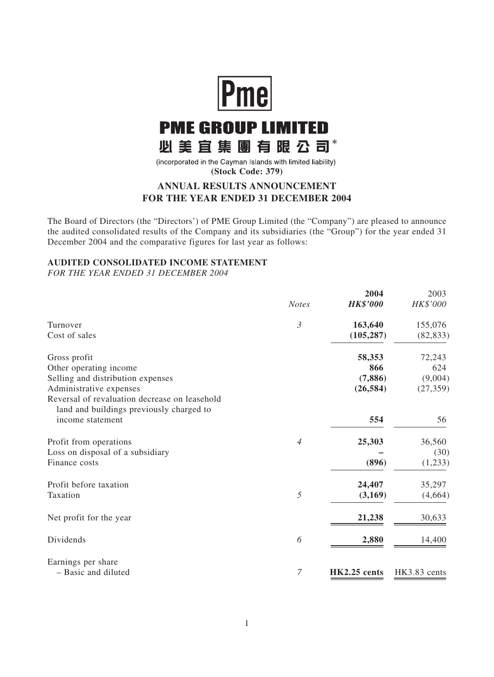

# **PME GROUP LIMITED** 必美宜集團有限公司\*

(incorporated in the Cayman Islands with limited liability) **(Stock Code: 379)**

# **ANNUAL RESULTS ANNOUNCEMENT FOR THE YEAR ENDED 31 DECEMBER 2004**

The Board of Directors (the "Directors') of PME Group Limited (the "Company") are pleased to announce the audited consolidated results of the Company and its subsidiaries (the "Group") for the year ended 31 December 2004 and the comparative figures for last year as follows:

## **AUDITED CONSOLIDATED INCOME STATEMENT**

*FOR THE YEAR ENDED 31 DECEMBER 2004*

|                                                                                           |                | 2004            | 2003         |
|-------------------------------------------------------------------------------------------|----------------|-----------------|--------------|
|                                                                                           | <b>Notes</b>   | <b>HK\$'000</b> | HK\$'000     |
| Turnover                                                                                  | $\mathfrak{Z}$ | 163,640         | 155,076      |
| Cost of sales                                                                             |                | (105, 287)      | (82, 833)    |
| Gross profit                                                                              |                | 58,353          | 72,243       |
| Other operating income                                                                    |                | 866             | 624          |
| Selling and distribution expenses                                                         |                | (7,886)         | (9,004)      |
| Administrative expenses                                                                   |                | (26, 584)       | (27, 359)    |
| Reversal of revaluation decrease on leasehold<br>land and buildings previously charged to |                |                 |              |
| income statement                                                                          |                | 554             | 56           |
| Profit from operations                                                                    | $\overline{4}$ | 25,303          | 36,560       |
| Loss on disposal of a subsidiary                                                          |                |                 | (30)         |
| Finance costs                                                                             |                | (896)           | (1,233)      |
| Profit before taxation                                                                    |                | 24,407          | 35,297       |
| Taxation                                                                                  | 5              | (3,169)         | (4,664)      |
| Net profit for the year                                                                   |                | 21,238          | 30,633       |
| Dividends                                                                                 | 6              | 2,880           | 14,400       |
| Earnings per share                                                                        |                |                 |              |
| - Basic and diluted                                                                       | $\overline{7}$ | HK2.25 cents    | HK3.83 cents |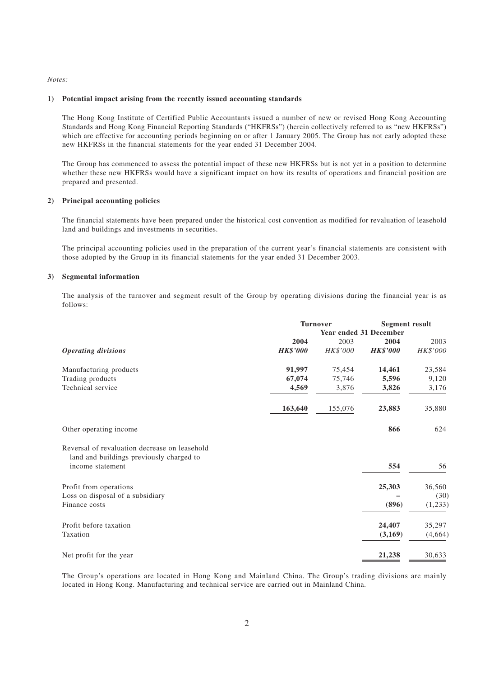*Notes:*

#### **1) Potential impact arising from the recently issued accounting standards**

The Hong Kong Institute of Certified Public Accountants issued a number of new or revised Hong Kong Accounting Standards and Hong Kong Financial Reporting Standards ("HKFRSs") (herein collectively referred to as "new HKFRSs") which are effective for accounting periods beginning on or after 1 January 2005. The Group has not early adopted these new HKFRSs in the financial statements for the year ended 31 December 2004.

The Group has commenced to assess the potential impact of these new HKFRSs but is not yet in a position to determine whether these new HKFRSs would have a significant impact on how its results of operations and financial position are prepared and presented.

#### **2) Principal accounting policies**

The financial statements have been prepared under the historical cost convention as modified for revaluation of leasehold land and buildings and investments in securities.

The principal accounting policies used in the preparation of the current year's financial statements are consistent with those adopted by the Group in its financial statements for the year ended 31 December 2003.

#### **3) Segmental information**

The analysis of the turnover and segment result of the Group by operating divisions during the financial year is as follows:

|                                                                                                               | <b>Turnover</b>               | <b>Segment result</b> |                 |          |
|---------------------------------------------------------------------------------------------------------------|-------------------------------|-----------------------|-----------------|----------|
|                                                                                                               | <b>Year ended 31 December</b> |                       |                 |          |
|                                                                                                               | 2004                          | 2003                  | 2004            | 2003     |
| <b>Operating divisions</b>                                                                                    | <b>HK\$'000</b>               | HK\$'000              | <b>HK\$'000</b> | HK\$'000 |
| Manufacturing products                                                                                        | 91,997                        | 75,454                | 14,461          | 23,584   |
| Trading products                                                                                              | 67,074                        | 75,746                | 5,596           | 9,120    |
| Technical service                                                                                             | 4,569                         | 3,876                 | 3,826           | 3,176    |
|                                                                                                               | 163,640                       | 155,076               | 23,883          | 35,880   |
| Other operating income                                                                                        |                               |                       | 866             | 624      |
| Reversal of revaluation decrease on leasehold<br>land and buildings previously charged to<br>income statement |                               |                       | 554             | 56       |
| Profit from operations                                                                                        |                               |                       | 25,303          | 36,560   |
| Loss on disposal of a subsidiary                                                                              |                               |                       |                 | (30)     |
| Finance costs                                                                                                 |                               |                       | (896)           | (1,233)  |
| Profit before taxation                                                                                        |                               |                       | 24,407          | 35,297   |
| Taxation                                                                                                      |                               |                       | (3,169)         | (4,664)  |
| Net profit for the year                                                                                       |                               |                       | 21,238          | 30,633   |

The Group's operations are located in Hong Kong and Mainland China. The Group's trading divisions are mainly located in Hong Kong. Manufacturing and technical service are carried out in Mainland China.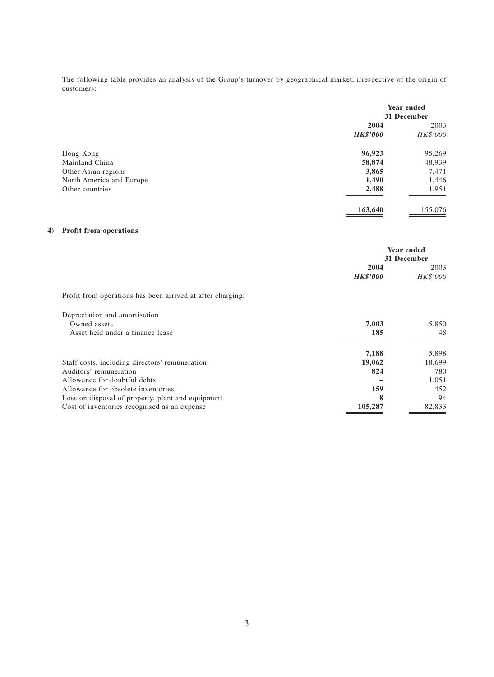The following table provides an analysis of the Group's turnover by geographical market, irrespective of the origin of customers:

|                          |                 | Year ended<br>31 December |  |
|--------------------------|-----------------|---------------------------|--|
|                          | 2004            | 2003                      |  |
|                          | <b>HK\$'000</b> | HK\$'000                  |  |
| Hong Kong                | 96,923          | 95,269                    |  |
| Mainland China           | 58,874          | 48,939                    |  |
| Other Asian regions      | 3,865           | 7,471                     |  |
| North America and Europe | 1,490           | 1,446                     |  |
| Other countries          | 2,488           | 1,951                     |  |
|                          | 163,640         | 155,076                   |  |

## **4) Profit from operations**

|                                                            | Year ended<br>31 December |          |
|------------------------------------------------------------|---------------------------|----------|
|                                                            | 2004                      | 2003     |
|                                                            | <b>HK\$'000</b>           | HK\$'000 |
| Profit from operations has been arrived at after charging: |                           |          |
| Depreciation and amortisation                              |                           |          |
| Owned assets                                               | 7,003                     | 5,850    |
| Asset held under a finance lease                           | 185                       | 48       |
|                                                            | 7,188                     | 5,898    |
| Staff costs, including directors' remuneration             | 19,062                    | 18,699   |
| Auditors' remuneration                                     | 824                       | 780      |
| Allowance for doubtful debts                               |                           | 1,051    |
| Allowance for obsolete inventories                         | 159                       | 452      |
| Loss on disposal of property, plant and equipment          | 8                         | 94       |
| Cost of inventories recognised as an expense               | 105,287                   | 82,833   |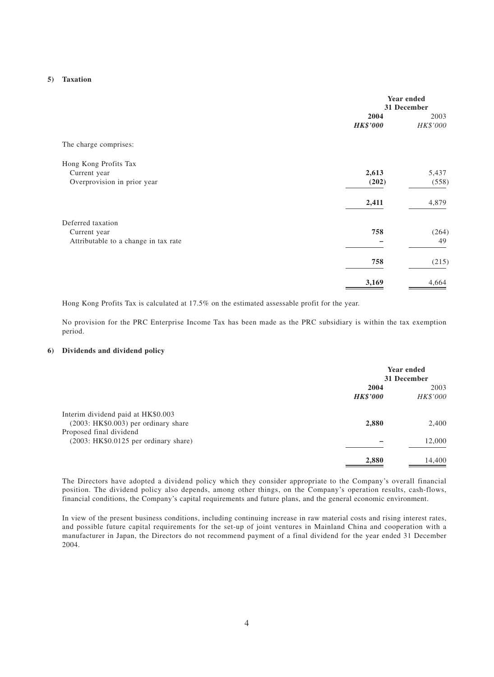#### **5) Taxation**

|                                                                           | Year ended<br>31 December |                  |
|---------------------------------------------------------------------------|---------------------------|------------------|
|                                                                           | 2004<br><b>HK\$'000</b>   | 2003<br>HK\$'000 |
| The charge comprises:                                                     |                           |                  |
| Hong Kong Profits Tax<br>Current year<br>Overprovision in prior year      | 2,613<br>(202)            | 5,437<br>(558)   |
|                                                                           | 2,411                     | 4,879            |
| Deferred taxation<br>Current year<br>Attributable to a change in tax rate | 758                       | (264)<br>49      |
|                                                                           | 758                       | (215)            |
|                                                                           | 3,169                     | 4,664            |

Hong Kong Profits Tax is calculated at 17.5% on the estimated assessable profit for the year.

No provision for the PRC Enterprise Income Tax has been made as the PRC subsidiary is within the tax exemption period.

#### **6) Dividends and dividend policy**

|                                                                             | Year ended<br>31 December |                  |
|-----------------------------------------------------------------------------|---------------------------|------------------|
|                                                                             | 2004<br><b>HK\$'000</b>   | 2003<br>HK\$'000 |
| Interim dividend paid at HK\$0.003<br>$(2003: HK$0.003)$ per ordinary share | 2,880                     | 2,400            |
| Proposed final dividend<br>(2003: HK\$0.0125 per ordinary share)            |                           | 12,000           |
|                                                                             | 2,880                     | 14,400           |

The Directors have adopted a dividend policy which they consider appropriate to the Company's overall financial position. The dividend policy also depends, among other things, on the Company's operation results, cash-flows, financial conditions, the Company's capital requirements and future plans, and the general economic environment.

In view of the present business conditions, including continuing increase in raw material costs and rising interest rates, and possible future capital requirements for the set-up of joint ventures in Mainland China and cooperation with a manufacturer in Japan, the Directors do not recommend payment of a final dividend for the year ended 31 December 2004.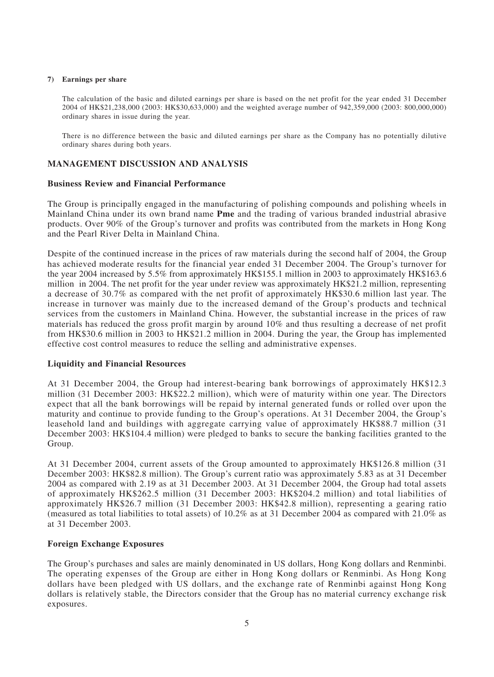#### **7) Earnings per share**

The calculation of the basic and diluted earnings per share is based on the net profit for the year ended 31 December 2004 of HK\$21,238,000 (2003: HK\$30,633,000) and the weighted average number of 942,359,000 (2003: 800,000,000) ordinary shares in issue during the year.

There is no difference between the basic and diluted earnings per share as the Company has no potentially dilutive ordinary shares during both years.

## **MANAGEMENT DISCUSSION AND ANALYSIS**

## **Business Review and Financial Performance**

The Group is principally engaged in the manufacturing of polishing compounds and polishing wheels in Mainland China under its own brand name **Pme** and the trading of various branded industrial abrasive products. Over 90% of the Group's turnover and profits was contributed from the markets in Hong Kong and the Pearl River Delta in Mainland China.

Despite of the continued increase in the prices of raw materials during the second half of 2004, the Group has achieved moderate results for the financial year ended 31 December 2004. The Group's turnover for the year 2004 increased by 5.5% from approximately HK\$155.1 million in 2003 to approximately HK\$163.6 million in 2004. The net profit for the year under review was approximately HK\$21.2 million, representing a decrease of 30.7% as compared with the net profit of approximately HK\$30.6 million last year. The increase in turnover was mainly due to the increased demand of the Group's products and technical services from the customers in Mainland China. However, the substantial increase in the prices of raw materials has reduced the gross profit margin by around 10% and thus resulting a decrease of net profit from HK\$30.6 million in 2003 to HK\$21.2 million in 2004. During the year, the Group has implemented effective cost control measures to reduce the selling and administrative expenses.

## **Liquidity and Financial Resources**

At 31 December 2004, the Group had interest-bearing bank borrowings of approximately HK\$12.3 million (31 December 2003: HK\$22.2 million), which were of maturity within one year. The Directors expect that all the bank borrowings will be repaid by internal generated funds or rolled over upon the maturity and continue to provide funding to the Group's operations. At 31 December 2004, the Group's leasehold land and buildings with aggregate carrying value of approximately HK\$88.7 million (31 December 2003: HK\$104.4 million) were pledged to banks to secure the banking facilities granted to the Group.

At 31 December 2004, current assets of the Group amounted to approximately HK\$126.8 million (31 December 2003: HK\$82.8 million). The Group's current ratio was approximately 5.83 as at 31 December 2004 as compared with 2.19 as at 31 December 2003. At 31 December 2004, the Group had total assets of approximately HK\$262.5 million (31 December 2003: HK\$204.2 million) and total liabilities of approximately HK\$26.7 million (31 December 2003: HK\$42.8 million), representing a gearing ratio (measured as total liabilities to total assets) of 10.2% as at 31 December 2004 as compared with 21.0% as at 31 December 2003.

## **Foreign Exchange Exposures**

The Group's purchases and sales are mainly denominated in US dollars, Hong Kong dollars and Renminbi. The operating expenses of the Group are either in Hong Kong dollars or Renminbi. As Hong Kong dollars have been pledged with US dollars, and the exchange rate of Renminbi against Hong Kong dollars is relatively stable, the Directors consider that the Group has no material currency exchange risk exposures.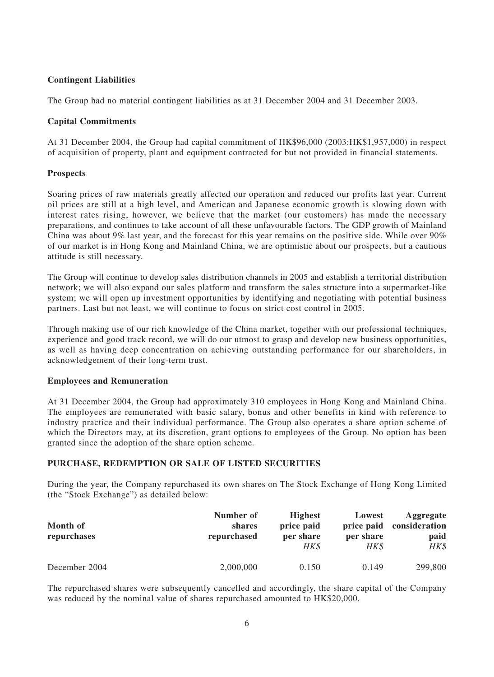# **Contingent Liabilities**

The Group had no material contingent liabilities as at 31 December 2004 and 31 December 2003.

## **Capital Commitments**

At 31 December 2004, the Group had capital commitment of HK\$96,000 (2003:HK\$1,957,000) in respect of acquisition of property, plant and equipment contracted for but not provided in financial statements.

## **Prospects**

Soaring prices of raw materials greatly affected our operation and reduced our profits last year. Current oil prices are still at a high level, and American and Japanese economic growth is slowing down with interest rates rising, however, we believe that the market (our customers) has made the necessary preparations, and continues to take account of all these unfavourable factors. The GDP growth of Mainland China was about 9% last year, and the forecast for this year remains on the positive side. While over 90% of our market is in Hong Kong and Mainland China, we are optimistic about our prospects, but a cautious attitude is still necessary.

The Group will continue to develop sales distribution channels in 2005 and establish a territorial distribution network; we will also expand our sales platform and transform the sales structure into a supermarket-like system; we will open up investment opportunities by identifying and negotiating with potential business partners. Last but not least, we will continue to focus on strict cost control in 2005.

Through making use of our rich knowledge of the China market, together with our professional techniques, experience and good track record, we will do our utmost to grasp and develop new business opportunities, as well as having deep concentration on achieving outstanding performance for our shareholders, in acknowledgement of their long-term trust.

## **Employees and Remuneration**

At 31 December 2004, the Group had approximately 310 employees in Hong Kong and Mainland China. The employees are remunerated with basic salary, bonus and other benefits in kind with reference to industry practice and their individual performance. The Group also operates a share option scheme of which the Directors may, at its discretion, grant options to employees of the Group. No option has been granted since the adoption of the share option scheme.

# **PURCHASE, REDEMPTION OR SALE OF LISTED SECURITIES**

During the year, the Company repurchased its own shares on The Stock Exchange of Hong Kong Limited (the "Stock Exchange") as detailed below:

| Month of<br>repurchases | Number of<br>shares<br>repurchased | <b>Highest</b><br>price paid<br>per share<br>HK\$ | Lowest<br>price paid<br>per share<br>HK\$ | Aggregate<br>consideration<br>paid<br>HK\$ |
|-------------------------|------------------------------------|---------------------------------------------------|-------------------------------------------|--------------------------------------------|
| December 2004           | 2,000,000                          | 0.150                                             | 0.149                                     | 299,800                                    |

The repurchased shares were subsequently cancelled and accordingly, the share capital of the Company was reduced by the nominal value of shares repurchased amounted to HK\$20,000.